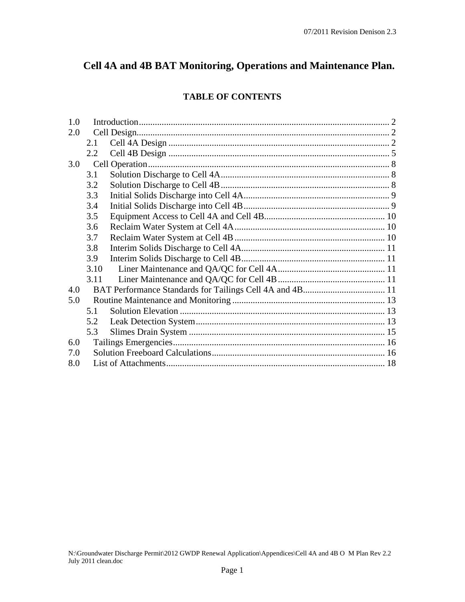# **Cell 4A and 4B BAT Monitoring, Operations and Maintenance Plan.**

# **TABLE OF CONTENTS**

| 1.0  |  |  |
|------|--|--|
| 2.0  |  |  |
| 2.1  |  |  |
| 2.2  |  |  |
| 3.0  |  |  |
| 3.1  |  |  |
| 3.2  |  |  |
| 3.3  |  |  |
| 3.4  |  |  |
| 3.5  |  |  |
| 3.6  |  |  |
| 3.7  |  |  |
| 3.8  |  |  |
| 3.9  |  |  |
| 3.10 |  |  |
| 3.11 |  |  |
| 4.0  |  |  |
| 5.0  |  |  |
| 5.1  |  |  |
| 5.2  |  |  |
| 5.3  |  |  |
| 6.0  |  |  |
| 7.0  |  |  |
| 8.0  |  |  |
|      |  |  |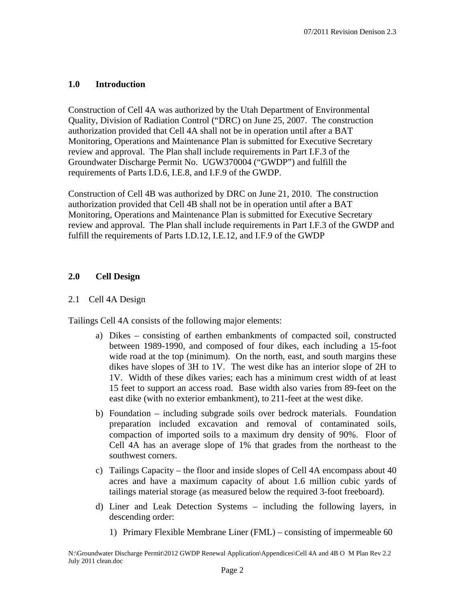## **1.0 Introduction**

Construction of Cell 4A was authorized by the Utah Department of Environmental Quality, Division of Radiation Control ("DRC) on June 25, 2007. The construction authorization provided that Cell 4A shall not be in operation until after a BAT Monitoring, Operations and Maintenance Plan is submitted for Executive Secretary review and approval. The Plan shall include requirements in Part I.F.3 of the Groundwater Discharge Permit No. UGW370004 ("GWDP") and fulfill the requirements of Parts I.D.6, I.E.8, and I.F.9 of the GWDP.

Construction of Cell 4B was authorized by DRC on June 21, 2010. The construction authorization provided that Cell 4B shall not be in operation until after a BAT Monitoring, Operations and Maintenance Plan is submitted for Executive Secretary review and approval. The Plan shall include requirements in Part I.F.3 of the GWDP and fulfill the requirements of Parts I.D.12, I.E.12, and I.F.9 of the GWDP

# **2.0 Cell Design**

## 2.1 Cell 4A Design

Tailings Cell 4A consists of the following major elements:

- a) Dikes consisting of earthen embankments of compacted soil, constructed between 1989-1990, and composed of four dikes, each including a 15-foot wide road at the top (minimum). On the north, east, and south margins these dikes have slopes of 3H to 1V. The west dike has an interior slope of 2H to 1V. Width of these dikes varies; each has a minimum crest width of at least 15 feet to support an access road. Base width also varies from 89-feet on the east dike (with no exterior embankment), to 211-feet at the west dike.
- b) Foundation including subgrade soils over bedrock materials. Foundation preparation included excavation and removal of contaminated soils, compaction of imported soils to a maximum dry density of 90%. Floor of Cell 4A has an average slope of 1% that grades from the northeast to the southwest corners.
- c) Tailings Capacity the floor and inside slopes of Cell 4A encompass about 40 acres and have a maximum capacity of about 1.6 million cubic yards of tailings material storage (as measured below the required 3-foot freeboard).
- d) Liner and Leak Detection Systems including the following layers, in descending order:
	- 1) Primary Flexible Membrane Liner (FML) consisting of impermeable 60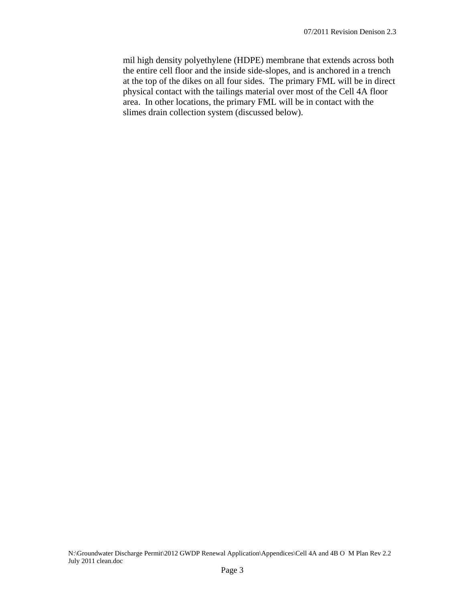mil high density polyethylene (HDPE) membrane that extends across both the entire cell floor and the inside side-slopes, and is anchored in a trench at the top of the dikes on all four sides. The primary FML will be in direct physical contact with the tailings material over most of the Cell 4A floor area. In other locations, the primary FML will be in contact with the slimes drain collection system (discussed below).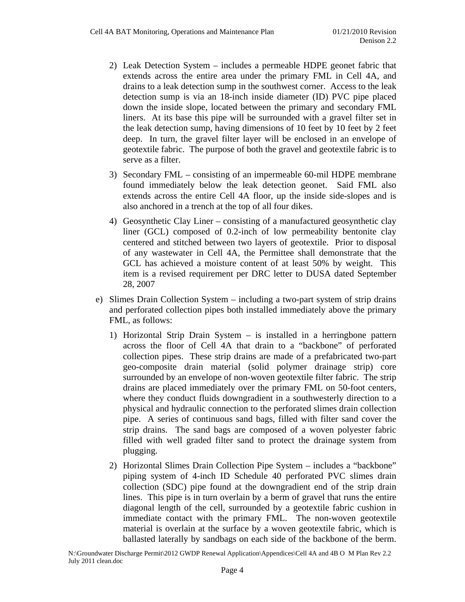- 2) Leak Detection System includes a permeable HDPE geonet fabric that extends across the entire area under the primary FML in Cell 4A, and drains to a leak detection sump in the southwest corner. Access to the leak detection sump is via an 18-inch inside diameter (ID) PVC pipe placed down the inside slope, located between the primary and secondary FML liners. At its base this pipe will be surrounded with a gravel filter set in the leak detection sump, having dimensions of 10 feet by 10 feet by 2 feet deep. In turn, the gravel filter layer will be enclosed in an envelope of geotextile fabric. The purpose of both the gravel and geotextile fabric is to serve as a filter.
- 3) Secondary FML consisting of an impermeable 60-mil HDPE membrane found immediately below the leak detection geonet. Said FML also extends across the entire Cell 4A floor, up the inside side-slopes and is also anchored in a trench at the top of all four dikes.
- 4) Geosynthetic Clay Liner consisting of a manufactured geosynthetic clay liner (GCL) composed of 0.2-inch of low permeability bentonite clay centered and stitched between two layers of geotextile. Prior to disposal of any wastewater in Cell 4A, the Permittee shall demonstrate that the GCL has achieved a moisture content of at least 50% by weight. This item is a revised requirement per DRC letter to DUSA dated September 28, 2007
- e) Slimes Drain Collection System including a two-part system of strip drains and perforated collection pipes both installed immediately above the primary FML, as follows:
	- 1) Horizontal Strip Drain System is installed in a herringbone pattern across the floor of Cell 4A that drain to a "backbone" of perforated collection pipes. These strip drains are made of a prefabricated two-part geo-composite drain material (solid polymer drainage strip) core surrounded by an envelope of non-woven geotextile filter fabric. The strip drains are placed immediately over the primary FML on 50-foot centers, where they conduct fluids downgradient in a southwesterly direction to a physical and hydraulic connection to the perforated slimes drain collection pipe. A series of continuous sand bags, filled with filter sand cover the strip drains. The sand bags are composed of a woven polyester fabric filled with well graded filter sand to protect the drainage system from plugging.
	- 2) Horizontal Slimes Drain Collection Pipe System includes a "backbone" piping system of 4-inch ID Schedule 40 perforated PVC slimes drain collection (SDC) pipe found at the downgradient end of the strip drain lines. This pipe is in turn overlain by a berm of gravel that runs the entire diagonal length of the cell, surrounded by a geotextile fabric cushion in immediate contact with the primary FML. The non-woven geotextile material is overlain at the surface by a woven geotextile fabric, which is ballasted laterally by sandbags on each side of the backbone of the berm.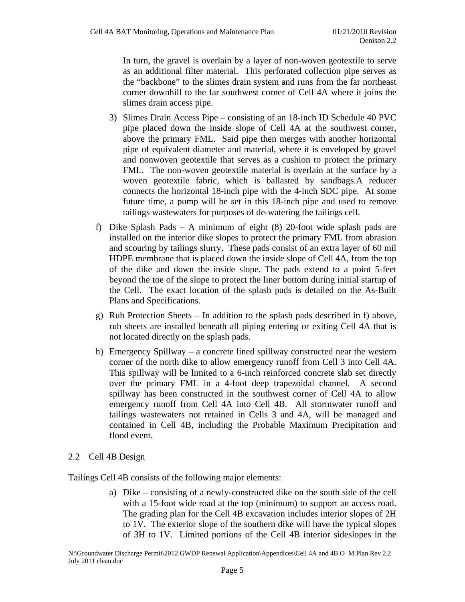In turn, the gravel is overlain by a layer of non-woven geotextile to serve as an additional filter material. This perforated collection pipe serves as the "backbone" to the slimes drain system and runs from the far northeast corner downhill to the far southwest corner of Cell 4A where it joins the slimes drain access pipe.

- 3) Slimes Drain Access Pipe consisting of an 18-inch ID Schedule 40 PVC pipe placed down the inside slope of Cell 4A at the southwest corner, above the primary FML. Said pipe then merges with another horizontal pipe of equivalent diameter and material, where it is enveloped by gravel and nonwoven geotextile that serves as a cushion to protect the primary FML. The non-woven geotextile material is overlain at the surface by a woven geotextile fabric, which is ballasted by sandbags.A reducer connects the horizontal 18-inch pipe with the 4-inch SDC pipe. At some future time, a pump will be set in this 18-inch pipe and used to remove tailings wastewaters for purposes of de-watering the tailings cell.
- f) Dike Splash Pads A minimum of eight (8) 20-foot wide splash pads are installed on the interior dike slopes to protect the primary FML from abrasion and scouring by tailings slurry. These pads consist of an extra layer of 60 mil HDPE membrane that is placed down the inside slope of Cell 4A, from the top of the dike and down the inside slope. The pads extend to a point 5-feet beyond the toe of the slope to protect the liner bottom during initial startup of the Cell. The exact location of the splash pads is detailed on the As-Built Plans and Specifications.
- g) Rub Protection Sheets In addition to the splash pads described in f) above, rub sheets are installed beneath all piping entering or exiting Cell 4A that is not located directly on the splash pads.
- h) Emergency Spillway a concrete lined spillway constructed near the western corner of the north dike to allow emergency runoff from Cell 3 into Cell 4A. This spillway will be limited to a 6-inch reinforced concrete slab set directly over the primary FML in a 4-foot deep trapezoidal channel. A second spillway has been constructed in the southwest corner of Cell 4A to allow emergency runoff from Cell 4A into Cell 4B. All stormwater runoff and tailings wastewaters not retained in Cells 3 and 4A, will be managed and contained in Cell 4B, including the Probable Maximum Precipitation and flood event.
- 2.2 Cell 4B Design

Tailings Cell 4B consists of the following major elements:

a) Dike – consisting of a newly-constructed dike on the south side of the cell with a 15-foot wide road at the top (minimum) to support an access road. The grading plan for the Cell 4B excavation includes interior slopes of 2H to 1V. The exterior slope of the southern dike will have the typical slopes of 3H to 1V. Limited portions of the Cell 4B interior sideslopes in the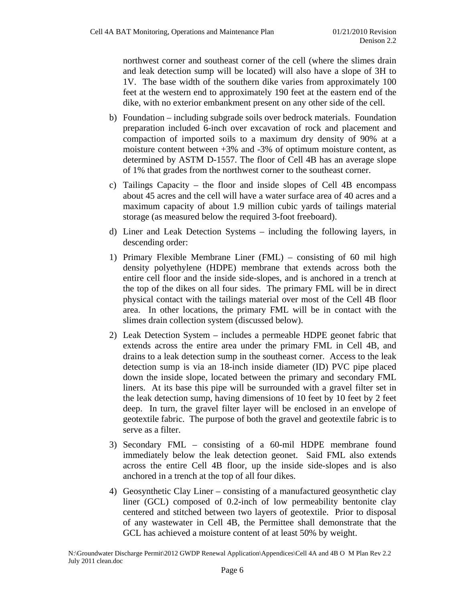northwest corner and southeast corner of the cell (where the slimes drain and leak detection sump will be located) will also have a slope of 3H to 1V. The base width of the southern dike varies from approximately 100 feet at the western end to approximately 190 feet at the eastern end of the dike, with no exterior embankment present on any other side of the cell.

- b) Foundation including subgrade soils over bedrock materials. Foundation preparation included 6-inch over excavation of rock and placement and compaction of imported soils to a maximum dry density of 90% at a moisture content between  $+3\%$  and  $-3\%$  of optimum moisture content, as determined by ASTM D-1557. The floor of Cell 4B has an average slope of 1% that grades from the northwest corner to the southeast corner.
- c) Tailings Capacity the floor and inside slopes of Cell 4B encompass about 45 acres and the cell will have a water surface area of 40 acres and a maximum capacity of about 1.9 million cubic yards of tailings material storage (as measured below the required 3-foot freeboard).
- d) Liner and Leak Detection Systems including the following layers, in descending order:
- 1) Primary Flexible Membrane Liner (FML) consisting of 60 mil high density polyethylene (HDPE) membrane that extends across both the entire cell floor and the inside side-slopes, and is anchored in a trench at the top of the dikes on all four sides. The primary FML will be in direct physical contact with the tailings material over most of the Cell 4B floor area. In other locations, the primary FML will be in contact with the slimes drain collection system (discussed below).
- 2) Leak Detection System includes a permeable HDPE geonet fabric that extends across the entire area under the primary FML in Cell 4B, and drains to a leak detection sump in the southeast corner. Access to the leak detection sump is via an 18-inch inside diameter (ID) PVC pipe placed down the inside slope, located between the primary and secondary FML liners. At its base this pipe will be surrounded with a gravel filter set in the leak detection sump, having dimensions of 10 feet by 10 feet by 2 feet deep. In turn, the gravel filter layer will be enclosed in an envelope of geotextile fabric. The purpose of both the gravel and geotextile fabric is to serve as a filter.
- 3) Secondary FML consisting of a 60-mil HDPE membrane found immediately below the leak detection geonet. Said FML also extends across the entire Cell 4B floor, up the inside side-slopes and is also anchored in a trench at the top of all four dikes.
- 4) Geosynthetic Clay Liner consisting of a manufactured geosynthetic clay liner (GCL) composed of 0.2-inch of low permeability bentonite clay centered and stitched between two layers of geotextile. Prior to disposal of any wastewater in Cell 4B, the Permittee shall demonstrate that the GCL has achieved a moisture content of at least 50% by weight.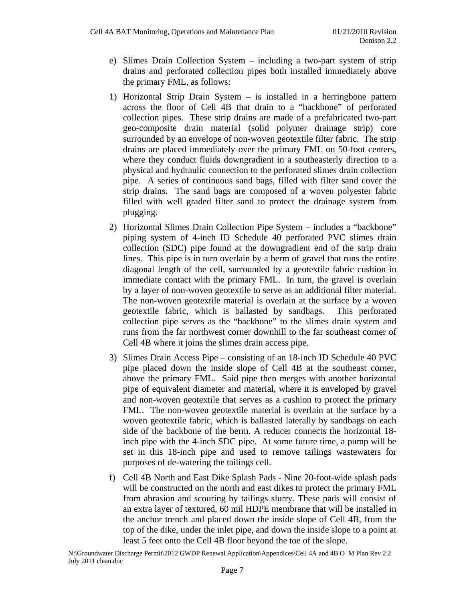- e) Slimes Drain Collection System including a two-part system of strip drains and perforated collection pipes both installed immediately above the primary FML, as follows:
- 1) Horizontal Strip Drain System is installed in a herringbone pattern across the floor of Cell 4B that drain to a "backbone" of perforated collection pipes. These strip drains are made of a prefabricated two-part geo-composite drain material (solid polymer drainage strip) core surrounded by an envelope of non-woven geotextile filter fabric. The strip drains are placed immediately over the primary FML on 50-foot centers, where they conduct fluids downgradient in a southeasterly direction to a physical and hydraulic connection to the perforated slimes drain collection pipe. A series of continuous sand bags, filled with filter sand cover the strip drains. The sand bags are composed of a woven polyester fabric filled with well graded filter sand to protect the drainage system from plugging.
- 2) Horizontal Slimes Drain Collection Pipe System includes a "backbone" piping system of 4-inch ID Schedule 40 perforated PVC slimes drain collection (SDC) pipe found at the downgradient end of the strip drain lines. This pipe is in turn overlain by a berm of gravel that runs the entire diagonal length of the cell, surrounded by a geotextile fabric cushion in immediate contact with the primary FML. In turn, the gravel is overlain by a layer of non-woven geotextile to serve as an additional filter material. The non-woven geotextile material is overlain at the surface by a woven geotextile fabric, which is ballasted by sandbags. This perforated collection pipe serves as the "backbone" to the slimes drain system and runs from the far northwest corner downhill to the far southeast corner of Cell 4B where it joins the slimes drain access pipe.
- 3) Slimes Drain Access Pipe consisting of an 18-inch ID Schedule 40 PVC pipe placed down the inside slope of Cell 4B at the southeast corner, above the primary FML. Said pipe then merges with another horizontal pipe of equivalent diameter and material, where it is enveloped by gravel and non-woven geotextile that serves as a cushion to protect the primary FML. The non-woven geotextile material is overlain at the surface by a woven geotextile fabric, which is ballasted laterally by sandbags on each side of the backbone of the berm. A reducer connects the horizontal 18 inch pipe with the 4-inch SDC pipe. At some future time, a pump will be set in this 18-inch pipe and used to remove tailings wastewaters for purposes of de-watering the tailings cell.
- f) Cell 4B North and East Dike Splash Pads Nine 20-foot-wide splash pads will be constructed on the north and east dikes to protect the primary FML from abrasion and scouring by tailings slurry. These pads will consist of an extra layer of textured, 60 mil HDPE membrane that will be installed in the anchor trench and placed down the inside slope of Cell 4B, from the top of the dike, under the inlet pipe, and down the inside slope to a point at least 5 feet onto the Cell 4B floor beyond the toe of the slope.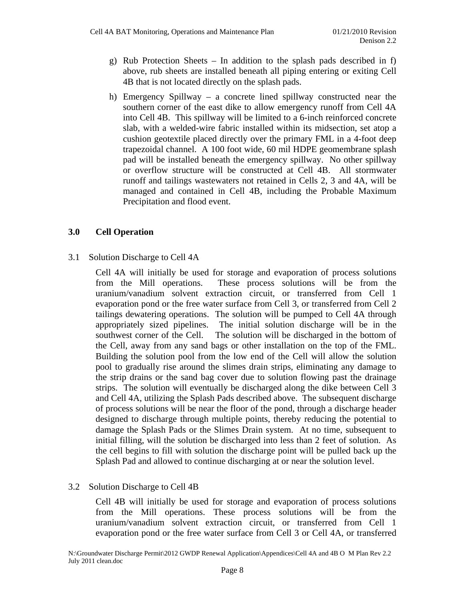- g) Rub Protection Sheets In addition to the splash pads described in f) above, rub sheets are installed beneath all piping entering or exiting Cell 4B that is not located directly on the splash pads.
- h) Emergency Spillway a concrete lined spillway constructed near the southern corner of the east dike to allow emergency runoff from Cell 4A into Cell 4B. This spillway will be limited to a 6-inch reinforced concrete slab, with a welded-wire fabric installed within its midsection, set atop a cushion geotextile placed directly over the primary FML in a 4-foot deep trapezoidal channel. A 100 foot wide, 60 mil HDPE geomembrane splash pad will be installed beneath the emergency spillway. No other spillway or overflow structure will be constructed at Cell 4B. All stormwater runoff and tailings wastewaters not retained in Cells 2, 3 and 4A, will be managed and contained in Cell 4B, including the Probable Maximum Precipitation and flood event.

## **3.0 Cell Operation**

3.1 Solution Discharge to Cell 4A

Cell 4A will initially be used for storage and evaporation of process solutions from the Mill operations. These process solutions will be from the uranium/vanadium solvent extraction circuit, or transferred from Cell 1 evaporation pond or the free water surface from Cell 3, or transferred from Cell 2 tailings dewatering operations. The solution will be pumped to Cell 4A through appropriately sized pipelines. The initial solution discharge will be in the southwest corner of the Cell. The solution will be discharged in the bottom of the Cell, away from any sand bags or other installation on the top of the FML. Building the solution pool from the low end of the Cell will allow the solution pool to gradually rise around the slimes drain strips, eliminating any damage to the strip drains or the sand bag cover due to solution flowing past the drainage strips. The solution will eventually be discharged along the dike between Cell 3 and Cell 4A, utilizing the Splash Pads described above. The subsequent discharge of process solutions will be near the floor of the pond, through a discharge header designed to discharge through multiple points, thereby reducing the potential to damage the Splash Pads or the Slimes Drain system. At no time, subsequent to initial filling, will the solution be discharged into less than 2 feet of solution. As the cell begins to fill with solution the discharge point will be pulled back up the Splash Pad and allowed to continue discharging at or near the solution level.

#### 3.2 Solution Discharge to Cell 4B

Cell 4B will initially be used for storage and evaporation of process solutions from the Mill operations. These process solutions will be from the uranium/vanadium solvent extraction circuit, or transferred from Cell 1 evaporation pond or the free water surface from Cell 3 or Cell 4A, or transferred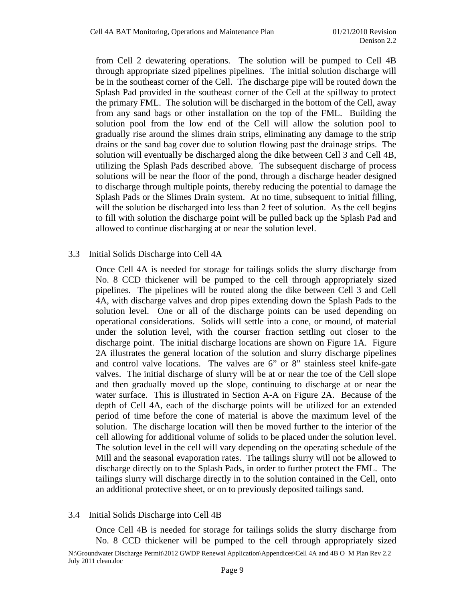from Cell 2 dewatering operations. The solution will be pumped to Cell 4B through appropriate sized pipelines pipelines. The initial solution discharge will be in the southeast corner of the Cell. The discharge pipe will be routed down the Splash Pad provided in the southeast corner of the Cell at the spillway to protect the primary FML. The solution will be discharged in the bottom of the Cell, away from any sand bags or other installation on the top of the FML. Building the solution pool from the low end of the Cell will allow the solution pool to gradually rise around the slimes drain strips, eliminating any damage to the strip drains or the sand bag cover due to solution flowing past the drainage strips. The solution will eventually be discharged along the dike between Cell 3 and Cell 4B, utilizing the Splash Pads described above. The subsequent discharge of process solutions will be near the floor of the pond, through a discharge header designed to discharge through multiple points, thereby reducing the potential to damage the Splash Pads or the Slimes Drain system. At no time, subsequent to initial filling, will the solution be discharged into less than 2 feet of solution. As the cell begins to fill with solution the discharge point will be pulled back up the Splash Pad and allowed to continue discharging at or near the solution level.

#### 3.3 Initial Solids Discharge into Cell 4A

Once Cell 4A is needed for storage for tailings solids the slurry discharge from No. 8 CCD thickener will be pumped to the cell through appropriately sized pipelines. The pipelines will be routed along the dike between Cell 3 and Cell 4A, with discharge valves and drop pipes extending down the Splash Pads to the solution level. One or all of the discharge points can be used depending on operational considerations. Solids will settle into a cone, or mound, of material under the solution level, with the courser fraction settling out closer to the discharge point. The initial discharge locations are shown on Figure 1A. Figure 2A illustrates the general location of the solution and slurry discharge pipelines and control valve locations. The valves are 6" or 8" stainless steel knife-gate valves. The initial discharge of slurry will be at or near the toe of the Cell slope and then gradually moved up the slope, continuing to discharge at or near the water surface. This is illustrated in Section A-A on Figure 2A. Because of the depth of Cell 4A, each of the discharge points will be utilized for an extended period of time before the cone of material is above the maximum level of the solution. The discharge location will then be moved further to the interior of the cell allowing for additional volume of solids to be placed under the solution level. The solution level in the cell will vary depending on the operating schedule of the Mill and the seasonal evaporation rates. The tailings slurry will not be allowed to discharge directly on to the Splash Pads, in order to further protect the FML. The tailings slurry will discharge directly in to the solution contained in the Cell, onto an additional protective sheet, or on to previously deposited tailings sand.

#### 3.4 Initial Solids Discharge into Cell 4B

Once Cell 4B is needed for storage for tailings solids the slurry discharge from No. 8 CCD thickener will be pumped to the cell through appropriately sized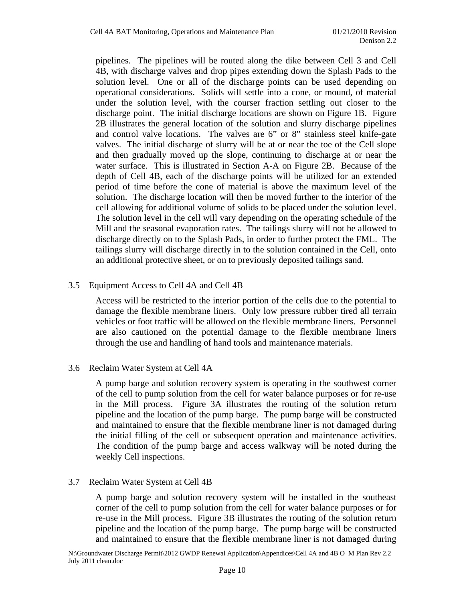pipelines. The pipelines will be routed along the dike between Cell 3 and Cell 4B, with discharge valves and drop pipes extending down the Splash Pads to the solution level. One or all of the discharge points can be used depending on operational considerations. Solids will settle into a cone, or mound, of material under the solution level, with the courser fraction settling out closer to the discharge point. The initial discharge locations are shown on Figure 1B. Figure 2B illustrates the general location of the solution and slurry discharge pipelines and control valve locations. The valves are 6" or 8" stainless steel knife-gate valves. The initial discharge of slurry will be at or near the toe of the Cell slope and then gradually moved up the slope, continuing to discharge at or near the water surface. This is illustrated in Section A-A on Figure 2B. Because of the depth of Cell 4B, each of the discharge points will be utilized for an extended period of time before the cone of material is above the maximum level of the solution. The discharge location will then be moved further to the interior of the cell allowing for additional volume of solids to be placed under the solution level. The solution level in the cell will vary depending on the operating schedule of the Mill and the seasonal evaporation rates. The tailings slurry will not be allowed to discharge directly on to the Splash Pads, in order to further protect the FML. The tailings slurry will discharge directly in to the solution contained in the Cell, onto an additional protective sheet, or on to previously deposited tailings sand.

### 3.5 Equipment Access to Cell 4A and Cell 4B

Access will be restricted to the interior portion of the cells due to the potential to damage the flexible membrane liners. Only low pressure rubber tired all terrain vehicles or foot traffic will be allowed on the flexible membrane liners. Personnel are also cautioned on the potential damage to the flexible membrane liners through the use and handling of hand tools and maintenance materials.

#### 3.6 Reclaim Water System at Cell 4A

A pump barge and solution recovery system is operating in the southwest corner of the cell to pump solution from the cell for water balance purposes or for re-use in the Mill process. Figure 3A illustrates the routing of the solution return pipeline and the location of the pump barge. The pump barge will be constructed and maintained to ensure that the flexible membrane liner is not damaged during the initial filling of the cell or subsequent operation and maintenance activities. The condition of the pump barge and access walkway will be noted during the weekly Cell inspections.

#### 3.7 Reclaim Water System at Cell 4B

A pump barge and solution recovery system will be installed in the southeast corner of the cell to pump solution from the cell for water balance purposes or for re-use in the Mill process. Figure 3B illustrates the routing of the solution return pipeline and the location of the pump barge. The pump barge will be constructed and maintained to ensure that the flexible membrane liner is not damaged during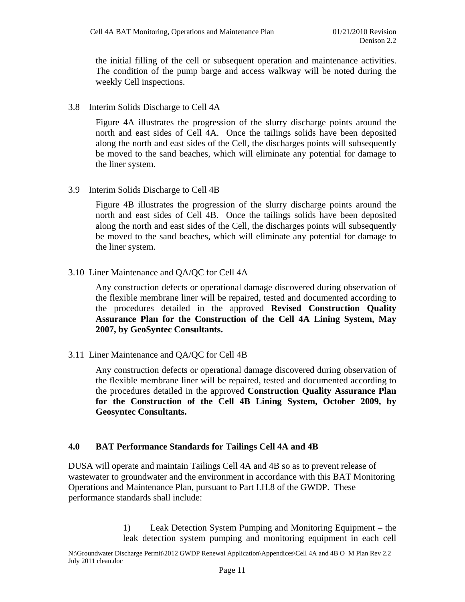the initial filling of the cell or subsequent operation and maintenance activities. The condition of the pump barge and access walkway will be noted during the weekly Cell inspections.

3.8 Interim Solids Discharge to Cell 4A

Figure 4A illustrates the progression of the slurry discharge points around the north and east sides of Cell 4A. Once the tailings solids have been deposited along the north and east sides of the Cell, the discharges points will subsequently be moved to the sand beaches, which will eliminate any potential for damage to the liner system.

3.9 Interim Solids Discharge to Cell 4B

Figure 4B illustrates the progression of the slurry discharge points around the north and east sides of Cell 4B. Once the tailings solids have been deposited along the north and east sides of the Cell, the discharges points will subsequently be moved to the sand beaches, which will eliminate any potential for damage to the liner system.

3.10 Liner Maintenance and QA/QC for Cell 4A

Any construction defects or operational damage discovered during observation of the flexible membrane liner will be repaired, tested and documented according to the procedures detailed in the approved **Revised Construction Quality Assurance Plan for the Construction of the Cell 4A Lining System, May 2007, by GeoSyntec Consultants.** 

3.11 Liner Maintenance and QA/QC for Cell 4B

Any construction defects or operational damage discovered during observation of the flexible membrane liner will be repaired, tested and documented according to the procedures detailed in the approved **Construction Quality Assurance Plan for the Construction of the Cell 4B Lining System, October 2009, by Geosyntec Consultants.** 

## **4.0 BAT Performance Standards for Tailings Cell 4A and 4B**

DUSA will operate and maintain Tailings Cell 4A and 4B so as to prevent release of wastewater to groundwater and the environment in accordance with this BAT Monitoring Operations and Maintenance Plan, pursuant to Part I.H.8 of the GWDP. These performance standards shall include:

> 1) Leak Detection System Pumping and Monitoring Equipment – the leak detection system pumping and monitoring equipment in each cell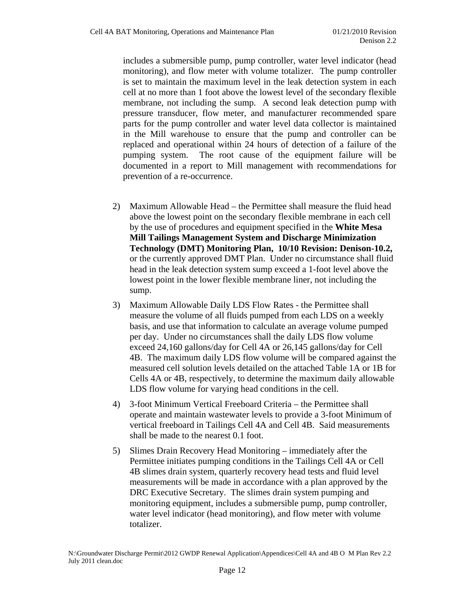includes a submersible pump, pump controller, water level indicator (head monitoring), and flow meter with volume totalizer. The pump controller is set to maintain the maximum level in the leak detection system in each cell at no more than 1 foot above the lowest level of the secondary flexible membrane, not including the sump. A second leak detection pump with pressure transducer, flow meter, and manufacturer recommended spare parts for the pump controller and water level data collector is maintained in the Mill warehouse to ensure that the pump and controller can be replaced and operational within 24 hours of detection of a failure of the pumping system. The root cause of the equipment failure will be documented in a report to Mill management with recommendations for prevention of a re-occurrence.

- 2) Maximum Allowable Head the Permittee shall measure the fluid head above the lowest point on the secondary flexible membrane in each cell by the use of procedures and equipment specified in the **White Mesa Mill Tailings Management System and Discharge Minimization Technology (DMT) Monitoring Plan, 10/10 Revision: Denison-10.2,**  or the currently approved DMT Plan. Under no circumstance shall fluid head in the leak detection system sump exceed a 1-foot level above the lowest point in the lower flexible membrane liner, not including the sump.
- 3) Maximum Allowable Daily LDS Flow Rates the Permittee shall measure the volume of all fluids pumped from each LDS on a weekly basis, and use that information to calculate an average volume pumped per day. Under no circumstances shall the daily LDS flow volume exceed 24,160 gallons/day for Cell 4A or 26,145 gallons/day for Cell 4B. The maximum daily LDS flow volume will be compared against the measured cell solution levels detailed on the attached Table 1A or 1B for Cells 4A or 4B, respectively, to determine the maximum daily allowable LDS flow volume for varying head conditions in the cell.
- 4) 3-foot Minimum Vertical Freeboard Criteria the Permittee shall operate and maintain wastewater levels to provide a 3-foot Minimum of vertical freeboard in Tailings Cell 4A and Cell 4B. Said measurements shall be made to the nearest 0.1 foot.
- 5) Slimes Drain Recovery Head Monitoring immediately after the Permittee initiates pumping conditions in the Tailings Cell 4A or Cell 4B slimes drain system, quarterly recovery head tests and fluid level measurements will be made in accordance with a plan approved by the DRC Executive Secretary. The slimes drain system pumping and monitoring equipment, includes a submersible pump, pump controller, water level indicator (head monitoring), and flow meter with volume totalizer.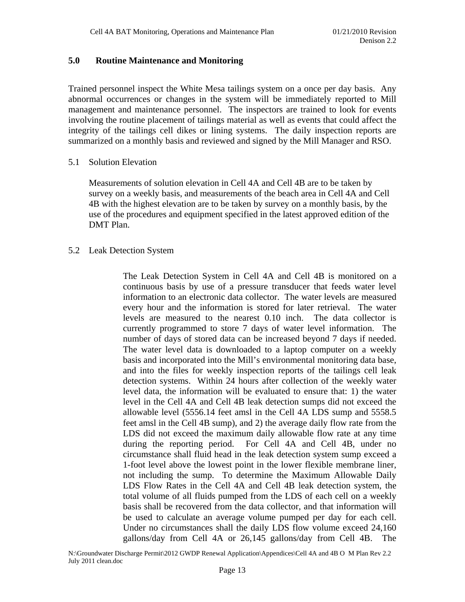#### **5.0 Routine Maintenance and Monitoring**

Trained personnel inspect the White Mesa tailings system on a once per day basis. Any abnormal occurrences or changes in the system will be immediately reported to Mill management and maintenance personnel. The inspectors are trained to look for events involving the routine placement of tailings material as well as events that could affect the integrity of the tailings cell dikes or lining systems. The daily inspection reports are summarized on a monthly basis and reviewed and signed by the Mill Manager and RSO.

#### 5.1 Solution Elevation

Measurements of solution elevation in Cell 4A and Cell 4B are to be taken by survey on a weekly basis, and measurements of the beach area in Cell 4A and Cell 4B with the highest elevation are to be taken by survey on a monthly basis, by the use of the procedures and equipment specified in the latest approved edition of the DMT Plan.

#### 5.2 Leak Detection System

The Leak Detection System in Cell 4A and Cell 4B is monitored on a continuous basis by use of a pressure transducer that feeds water level information to an electronic data collector. The water levels are measured every hour and the information is stored for later retrieval. The water levels are measured to the nearest 0.10 inch. The data collector is currently programmed to store 7 days of water level information. The number of days of stored data can be increased beyond 7 days if needed. The water level data is downloaded to a laptop computer on a weekly basis and incorporated into the Mill's environmental monitoring data base, and into the files for weekly inspection reports of the tailings cell leak detection systems. Within 24 hours after collection of the weekly water level data, the information will be evaluated to ensure that: 1) the water level in the Cell 4A and Cell 4B leak detection sumps did not exceed the allowable level (5556.14 feet amsl in the Cell 4A LDS sump and 5558.5 feet amsl in the Cell 4B sump), and 2) the average daily flow rate from the LDS did not exceed the maximum daily allowable flow rate at any time during the reporting period. For Cell 4A and Cell 4B, under no circumstance shall fluid head in the leak detection system sump exceed a 1-foot level above the lowest point in the lower flexible membrane liner, not including the sump. To determine the Maximum Allowable Daily LDS Flow Rates in the Cell 4A and Cell 4B leak detection system, the total volume of all fluids pumped from the LDS of each cell on a weekly basis shall be recovered from the data collector, and that information will be used to calculate an average volume pumped per day for each cell. Under no circumstances shall the daily LDS flow volume exceed 24,160 gallons/day from Cell 4A or 26,145 gallons/day from Cell 4B. The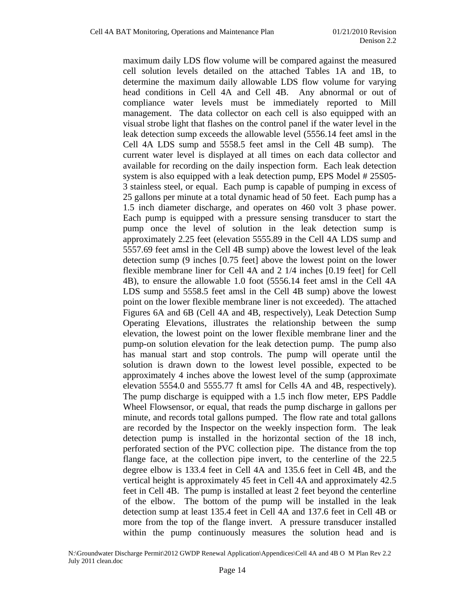maximum daily LDS flow volume will be compared against the measured cell solution levels detailed on the attached Tables 1A and 1B, to determine the maximum daily allowable LDS flow volume for varying head conditions in Cell 4A and Cell 4B. Any abnormal or out of compliance water levels must be immediately reported to Mill management. The data collector on each cell is also equipped with an visual strobe light that flashes on the control panel if the water level in the leak detection sump exceeds the allowable level (5556.14 feet amsl in the Cell 4A LDS sump and 5558.5 feet amsl in the Cell 4B sump). The current water level is displayed at all times on each data collector and available for recording on the daily inspection form. Each leak detection system is also equipped with a leak detection pump, EPS Model # 25S05- 3 stainless steel, or equal. Each pump is capable of pumping in excess of 25 gallons per minute at a total dynamic head of 50 feet. Each pump has a 1.5 inch diameter discharge, and operates on 460 volt 3 phase power. Each pump is equipped with a pressure sensing transducer to start the pump once the level of solution in the leak detection sump is approximately 2.25 feet (elevation 5555.89 in the Cell 4A LDS sump and 5557.69 feet amsl in the Cell 4B sump) above the lowest level of the leak detection sump (9 inches [0.75 feet] above the lowest point on the lower flexible membrane liner for Cell 4A and 2 1/4 inches [0.19 feet] for Cell 4B), to ensure the allowable 1.0 foot (5556.14 feet amsl in the Cell 4A LDS sump and 5558.5 feet amsl in the Cell 4B sump) above the lowest point on the lower flexible membrane liner is not exceeded). The attached Figures 6A and 6B (Cell 4A and 4B, respectively), Leak Detection Sump Operating Elevations, illustrates the relationship between the sump elevation, the lowest point on the lower flexible membrane liner and the pump-on solution elevation for the leak detection pump. The pump also has manual start and stop controls. The pump will operate until the solution is drawn down to the lowest level possible, expected to be approximately 4 inches above the lowest level of the sump (approximate elevation 5554.0 and 5555.77 ft amsl for Cells 4A and 4B, respectively). The pump discharge is equipped with a 1.5 inch flow meter, EPS Paddle Wheel Flowsensor, or equal, that reads the pump discharge in gallons per minute, and records total gallons pumped. The flow rate and total gallons are recorded by the Inspector on the weekly inspection form. The leak detection pump is installed in the horizontal section of the 18 inch, perforated section of the PVC collection pipe. The distance from the top flange face, at the collection pipe invert, to the centerline of the 22.5 degree elbow is 133.4 feet in Cell 4A and 135.6 feet in Cell 4B, and the vertical height is approximately 45 feet in Cell 4A and approximately 42.5 feet in Cell 4B. The pump is installed at least 2 feet beyond the centerline of the elbow. The bottom of the pump will be installed in the leak detection sump at least 135.4 feet in Cell 4A and 137.6 feet in Cell 4B or more from the top of the flange invert. A pressure transducer installed within the pump continuously measures the solution head and is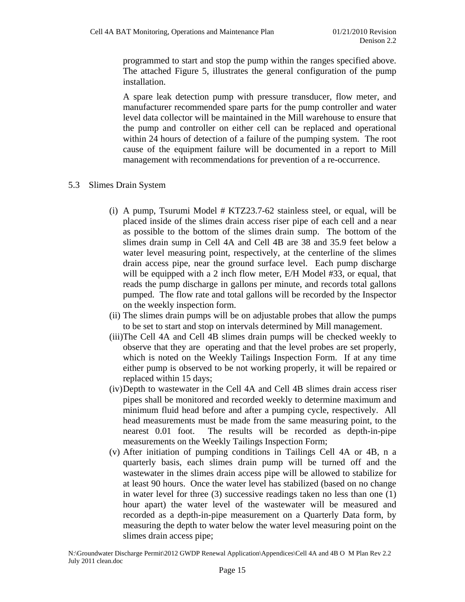programmed to start and stop the pump within the ranges specified above. The attached Figure 5, illustrates the general configuration of the pump installation.

A spare leak detection pump with pressure transducer, flow meter, and manufacturer recommended spare parts for the pump controller and water level data collector will be maintained in the Mill warehouse to ensure that the pump and controller on either cell can be replaced and operational within 24 hours of detection of a failure of the pumping system. The root cause of the equipment failure will be documented in a report to Mill management with recommendations for prevention of a re-occurrence.

#### 5.3 Slimes Drain System

- (i) A pump, Tsurumi Model # KTZ23.7-62 stainless steel, or equal, will be placed inside of the slimes drain access riser pipe of each cell and a near as possible to the bottom of the slimes drain sump. The bottom of the slimes drain sump in Cell 4A and Cell 4B are 38 and 35.9 feet below a water level measuring point, respectively, at the centerline of the slimes drain access pipe, near the ground surface level. Each pump discharge will be equipped with a 2 inch flow meter, E/H Model #33, or equal, that reads the pump discharge in gallons per minute, and records total gallons pumped. The flow rate and total gallons will be recorded by the Inspector on the weekly inspection form.
- (ii) The slimes drain pumps will be on adjustable probes that allow the pumps to be set to start and stop on intervals determined by Mill management.
- (iii)The Cell 4A and Cell 4B slimes drain pumps will be checked weekly to observe that they are operating and that the level probes are set properly, which is noted on the Weekly Tailings Inspection Form. If at any time either pump is observed to be not working properly, it will be repaired or replaced within 15 days;
- (iv)Depth to wastewater in the Cell 4A and Cell 4B slimes drain access riser pipes shall be monitored and recorded weekly to determine maximum and minimum fluid head before and after a pumping cycle, respectively. All head measurements must be made from the same measuring point, to the nearest 0.01 foot. The results will be recorded as depth-in-pipe measurements on the Weekly Tailings Inspection Form;
- (v) After initiation of pumping conditions in Tailings Cell 4A or 4B, n a quarterly basis, each slimes drain pump will be turned off and the wastewater in the slimes drain access pipe will be allowed to stabilize for at least 90 hours. Once the water level has stabilized (based on no change in water level for three (3) successive readings taken no less than one (1) hour apart) the water level of the wastewater will be measured and recorded as a depth-in-pipe measurement on a Quarterly Data form, by measuring the depth to water below the water level measuring point on the slimes drain access pipe;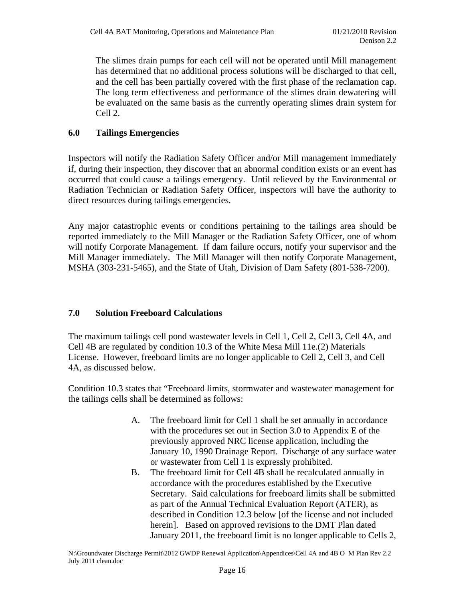The slimes drain pumps for each cell will not be operated until Mill management has determined that no additional process solutions will be discharged to that cell, and the cell has been partially covered with the first phase of the reclamation cap. The long term effectiveness and performance of the slimes drain dewatering will be evaluated on the same basis as the currently operating slimes drain system for Cell 2.

# **6.0 Tailings Emergencies**

Inspectors will notify the Radiation Safety Officer and/or Mill management immediately if, during their inspection, they discover that an abnormal condition exists or an event has occurred that could cause a tailings emergency. Until relieved by the Environmental or Radiation Technician or Radiation Safety Officer, inspectors will have the authority to direct resources during tailings emergencies.

Any major catastrophic events or conditions pertaining to the tailings area should be reported immediately to the Mill Manager or the Radiation Safety Officer, one of whom will notify Corporate Management. If dam failure occurs, notify your supervisor and the Mill Manager immediately. The Mill Manager will then notify Corporate Management, MSHA (303-231-5465), and the State of Utah, Division of Dam Safety (801-538-7200).

# **7.0 Solution Freeboard Calculations**

The maximum tailings cell pond wastewater levels in Cell 1, Cell 2, Cell 3, Cell 4A, and Cell 4B are regulated by condition 10.3 of the White Mesa Mill 11e.(2) Materials License. However, freeboard limits are no longer applicable to Cell 2, Cell 3, and Cell 4A, as discussed below.

Condition 10.3 states that "Freeboard limits, stormwater and wastewater management for the tailings cells shall be determined as follows:

- A. The freeboard limit for Cell 1 shall be set annually in accordance with the procedures set out in Section 3.0 to Appendix E of the previously approved NRC license application, including the January 10, 1990 Drainage Report. Discharge of any surface water or wastewater from Cell 1 is expressly prohibited.
- B. The freeboard limit for Cell 4B shall be recalculated annually in accordance with the procedures established by the Executive Secretary. Said calculations for freeboard limits shall be submitted as part of the Annual Technical Evaluation Report (ATER), as described in Condition 12.3 below [of the license and not included herein]. Based on approved revisions to the DMT Plan dated January 2011, the freeboard limit is no longer applicable to Cells 2,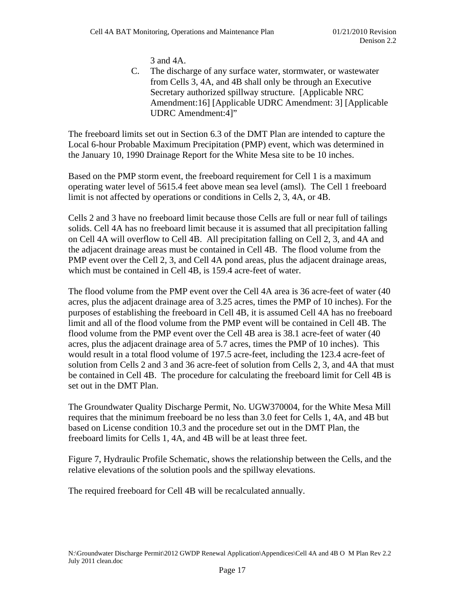3 and 4A.

C. The discharge of any surface water, stormwater, or wastewater from Cells 3, 4A, and 4B shall only be through an Executive Secretary authorized spillway structure. [Applicable NRC Amendment:16] [Applicable UDRC Amendment: 3] [Applicable UDRC Amendment:4]"

The freeboard limits set out in Section 6.3 of the DMT Plan are intended to capture the Local 6-hour Probable Maximum Precipitation (PMP) event, which was determined in the January 10, 1990 Drainage Report for the White Mesa site to be 10 inches.

Based on the PMP storm event, the freeboard requirement for Cell 1 is a maximum operating water level of 5615.4 feet above mean sea level (amsl). The Cell 1 freeboard limit is not affected by operations or conditions in Cells 2, 3, 4A, or 4B.

Cells 2 and 3 have no freeboard limit because those Cells are full or near full of tailings solids. Cell 4A has no freeboard limit because it is assumed that all precipitation falling on Cell 4A will overflow to Cell 4B. All precipitation falling on Cell 2, 3, and 4A and the adjacent drainage areas must be contained in Cell 4B. The flood volume from the PMP event over the Cell 2, 3, and Cell 4A pond areas, plus the adjacent drainage areas, which must be contained in Cell 4B, is 159.4 acre-feet of water.

The flood volume from the PMP event over the Cell 4A area is 36 acre-feet of water (40 acres, plus the adjacent drainage area of 3.25 acres, times the PMP of 10 inches). For the purposes of establishing the freeboard in Cell 4B, it is assumed Cell 4A has no freeboard limit and all of the flood volume from the PMP event will be contained in Cell 4B. The flood volume from the PMP event over the Cell 4B area is 38.1 acre-feet of water (40 acres, plus the adjacent drainage area of 5.7 acres, times the PMP of 10 inches). This would result in a total flood volume of 197.5 acre-feet, including the 123.4 acre-feet of solution from Cells 2 and 3 and 36 acre-feet of solution from Cells 2, 3, and 4A that must be contained in Cell 4B. The procedure for calculating the freeboard limit for Cell 4B is set out in the DMT Plan.

The Groundwater Quality Discharge Permit, No. UGW370004, for the White Mesa Mill requires that the minimum freeboard be no less than 3.0 feet for Cells 1, 4A, and 4B but based on License condition 10.3 and the procedure set out in the DMT Plan, the freeboard limits for Cells 1, 4A, and 4B will be at least three feet.

Figure 7, Hydraulic Profile Schematic, shows the relationship between the Cells, and the relative elevations of the solution pools and the spillway elevations.

The required freeboard for Cell 4B will be recalculated annually.